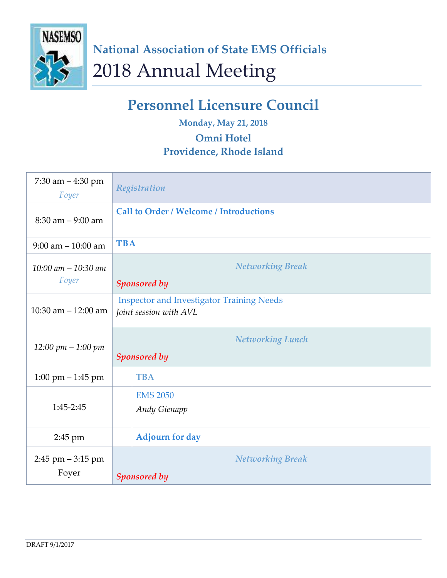

## **Personnel Licensure Council**

**Monday, May 21, 2018**

## **Omni Hotel**

## **Providence, Rhode Island**

| 7:30 am $-4:30$ pm<br>Foyer     | Registration                                                               |
|---------------------------------|----------------------------------------------------------------------------|
| $8:30$ am $-9:00$ am            | <b>Call to Order / Welcome / Introductions</b>                             |
| $9:00$ am $-10:00$ am           | <b>TBA</b>                                                                 |
| $10:00$ am $-10:30$ am<br>Foyer | <b>Networking Break</b><br><b>Sponsored by</b>                             |
| 10:30 am $-$ 12:00 am           | <b>Inspector and Investigator Training Needs</b><br>Joint session with AVL |
| $12:00 \; pm - 1:00 \; pm$      | <b>Networking Lunch</b><br><b>Sponsored by</b>                             |
| $1:00$ pm $-1:45$ pm            | <b>TBA</b>                                                                 |
| 1:45-2:45                       | <b>EMS 2050</b><br><b>Andy Gienapp</b>                                     |
| 2:45 pm                         | <b>Adjourn for day</b>                                                     |
| $2:45$ pm $-3:15$ pm<br>Foyer   | <b>Networking Break</b><br><b>Sponsored by</b>                             |